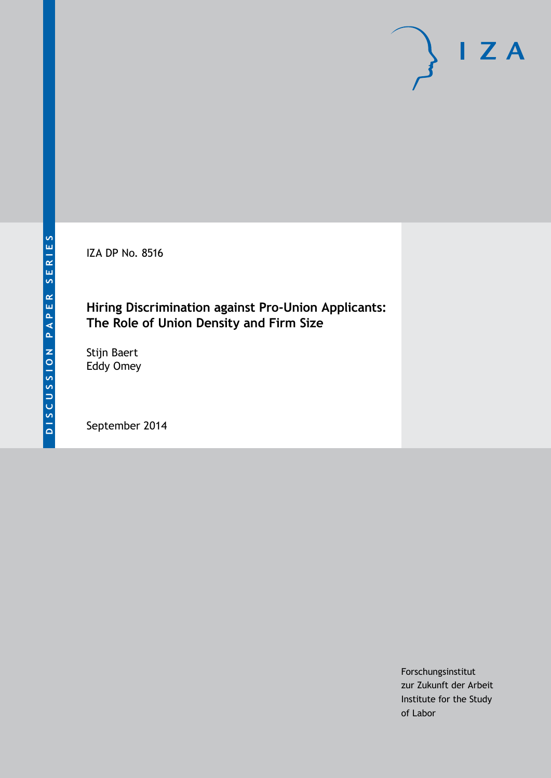IZA DP No. 8516

## **Hiring Discrimination against Pro-Union Applicants: The Role of Union Density and Firm Size**

Stijn Baert Eddy Omey

September 2014

Forschungsinstitut zur Zukunft der Arbeit Institute for the Study of Labor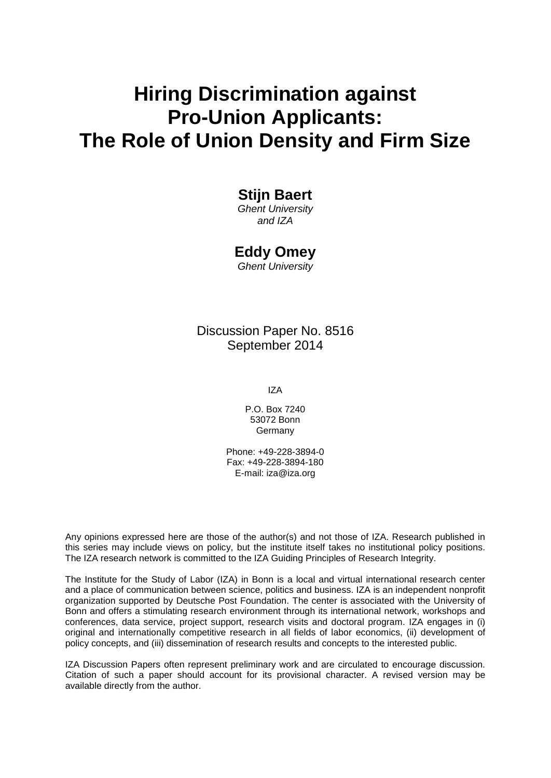# **Hiring Discrimination against Pro-Union Applicants: The Role of Union Density and Firm Size**

## **Stijn Baert**

*Ghent University and IZA*

## **Eddy Omey**

*Ghent University*

## Discussion Paper No. 8516 September 2014

IZA

P.O. Box 7240 53072 Bonn **Germany** 

Phone: +49-228-3894-0 Fax: +49-228-3894-180 E-mail: [iza@iza.org](mailto:iza@iza.org)

Any opinions expressed here are those of the author(s) and not those of IZA. Research published in this series may include views on policy, but the institute itself takes no institutional policy positions. The IZA research network is committed to the IZA Guiding Principles of Research Integrity.

The Institute for the Study of Labor (IZA) in Bonn is a local and virtual international research center and a place of communication between science, politics and business. IZA is an independent nonprofit organization supported by Deutsche Post Foundation. The center is associated with the University of Bonn and offers a stimulating research environment through its international network, workshops and conferences, data service, project support, research visits and doctoral program. IZA engages in (i) original and internationally competitive research in all fields of labor economics, (ii) development of policy concepts, and (iii) dissemination of research results and concepts to the interested public.

<span id="page-1-0"></span>IZA Discussion Papers often represent preliminary work and are circulated to encourage discussion. Citation of such a paper should account for its provisional character. A revised version may be available directly from the author.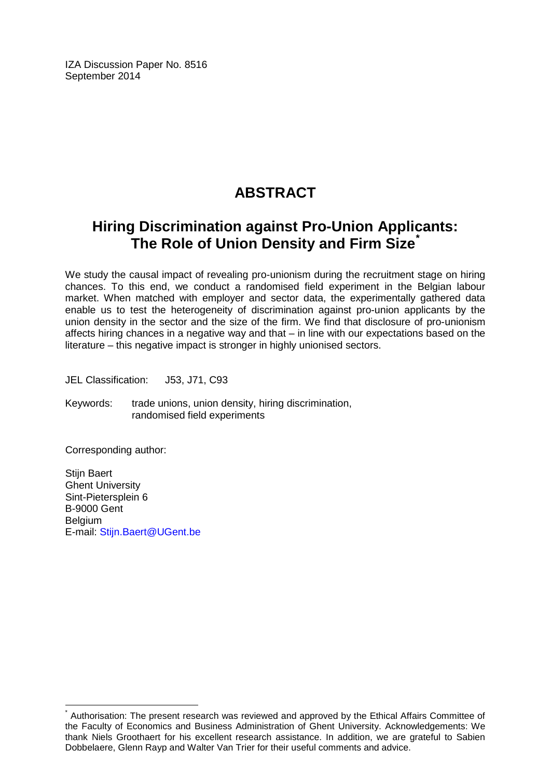IZA Discussion Paper No. 8516 September 2014

## **ABSTRACT**

## **Hiring Discrimination against Pro-Union Applicants: The Role of Union Density and Firm Size[\\*](#page-1-0)**

We study the causal impact of revealing pro-unionism during the recruitment stage on hiring chances. To this end, we conduct a randomised field experiment in the Belgian labour market. When matched with employer and sector data, the experimentally gathered data enable us to test the heterogeneity of discrimination against pro-union applicants by the union density in the sector and the size of the firm. We find that disclosure of pro-unionism affects hiring chances in a negative way and that – in line with our expectations based on the literature – this negative impact is stronger in highly unionised sectors.

JEL Classification: J53, J71, C93

Keywords: trade unions, union density, hiring discrimination, randomised field experiments

Corresponding author:

Stijn Baert Ghent University Sint-Pietersplein 6 B-9000 Gent Belgium E-mail: [Stijn.Baert@UGent.be](mailto:Stijn.Baert@UGent.be)

Authorisation: The present research was reviewed and approved by the Ethical Affairs Committee of the Faculty of Economics and Business Administration of Ghent University. Acknowledgements: We thank Niels Groothaert for his excellent research assistance. In addition, we are grateful to Sabien Dobbelaere, Glenn Rayp and Walter Van Trier for their useful comments and advice.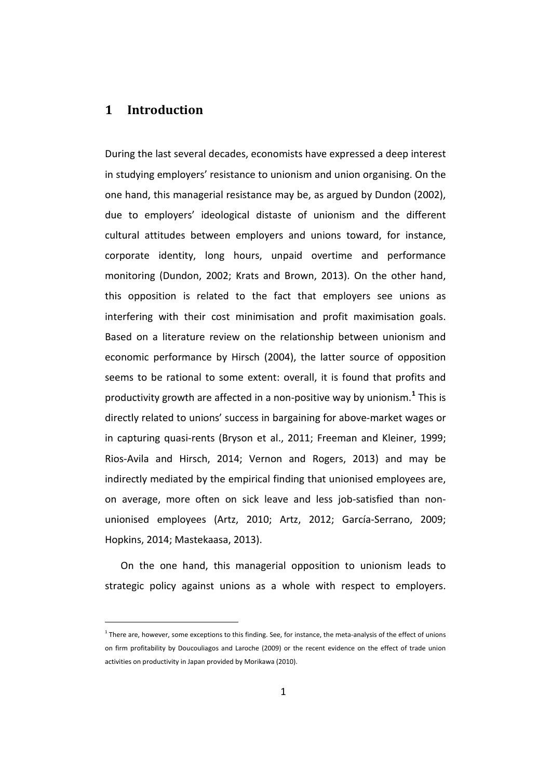### **1 Introduction**

During the last several decades, economists have expressed a deep interest in studying employers' resistance to unionism and union organising. On the one hand, this managerial resistance may be, as argued by Dundon (2002), due to employers' ideological distaste of unionism and the different cultural attitudes between employers and unions toward, for instance, corporate identity, long hours, unpaid overtime and performance monitoring (Dundon, 2002; Krats and Brown, 2013). On the other hand, this opposition is related to the fact that employers see unions as interfering with their cost minimisation and profit maximisation goals. Based on a literature review on the relationship between unionism and economic performance by Hirsch (2004), the latter source of opposition seems to be rational to some extent: overall, it is found that profits and productivity growth are affected in a non-positive way by unionism.**<sup>1</sup>** This is directly related to unions' success in bargaining for above-market wages or in capturing quasi-rents (Bryson et al., 2011; Freeman and Kleiner, 1999; Rios-Avila and Hirsch, 2014; Vernon and Rogers, 2013) and may be indirectly mediated by the empirical finding that unionised employees are, on average, more often on sick leave and less job-satisfied than nonunionised employees (Artz, 2010; Artz, 2012; García-Serrano, 2009; Hopkins, 2014; Mastekaasa, 2013).

On the one hand, this managerial opposition to unionism leads to strategic policy against unions as a whole with respect to employers.

<span id="page-3-0"></span> $1$  There are, however, some exceptions to this finding. See, for instance, the meta-analysis of the effect of unions on firm profitability by Doucouliagos and Laroche (2009) or the recent evidence on the effect of trade union activities on productivity in Japan provided by Morikawa (2010).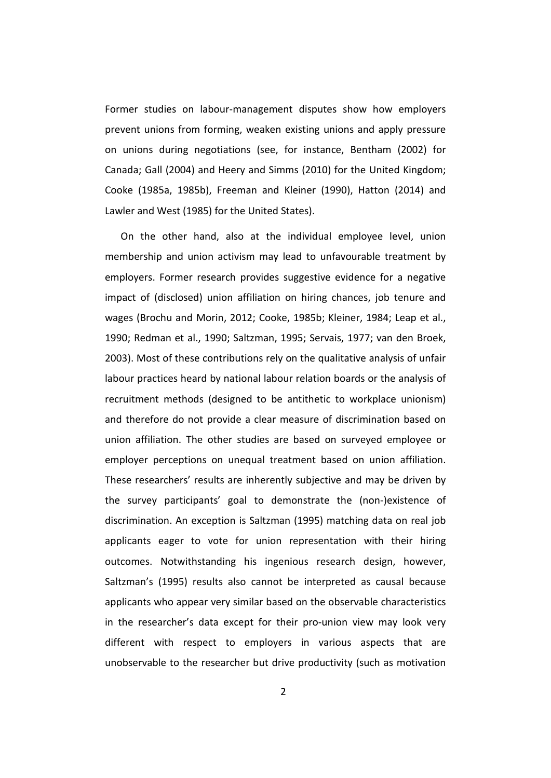Former studies on labour-management disputes show how employers prevent unions from forming, weaken existing unions and apply pressure on unions during negotiations (see, for instance, Bentham (2002) for Canada; Gall (2004) and Heery and Simms (2010) for the United Kingdom; Cooke (1985a, 1985b), Freeman and Kleiner (1990), Hatton (2014) and Lawler and West (1985) for the United States).

On the other hand, also at the individual employee level, union membership and union activism may lead to unfavourable treatment by employers. Former research provides suggestive evidence for a negative impact of (disclosed) union affiliation on hiring chances, job tenure and wages (Brochu and Morin, 2012; Cooke, 1985b; Kleiner, 1984; Leap et al., 1990; Redman et al., 1990; Saltzman, 1995; Servais, 1977; van den Broek, 2003). Most of these contributions rely on the qualitative analysis of unfair labour practices heard by national labour relation boards or the analysis of recruitment methods (designed to be antithetic to workplace unionism) and therefore do not provide a clear measure of discrimination based on union affiliation. The other studies are based on surveyed employee or employer perceptions on unequal treatment based on union affiliation. These researchers' results are inherently subjective and may be driven by the survey participants' goal to demonstrate the (non-)existence of discrimination. An exception is Saltzman (1995) matching data on real job applicants eager to vote for union representation with their hiring outcomes. Notwithstanding his ingenious research design, however, Saltzman's (1995) results also cannot be interpreted as causal because applicants who appear very similar based on the observable characteristics in the researcher's data except for their pro-union view may look very different with respect to employers in various aspects that are unobservable to the researcher but drive productivity (such as motivation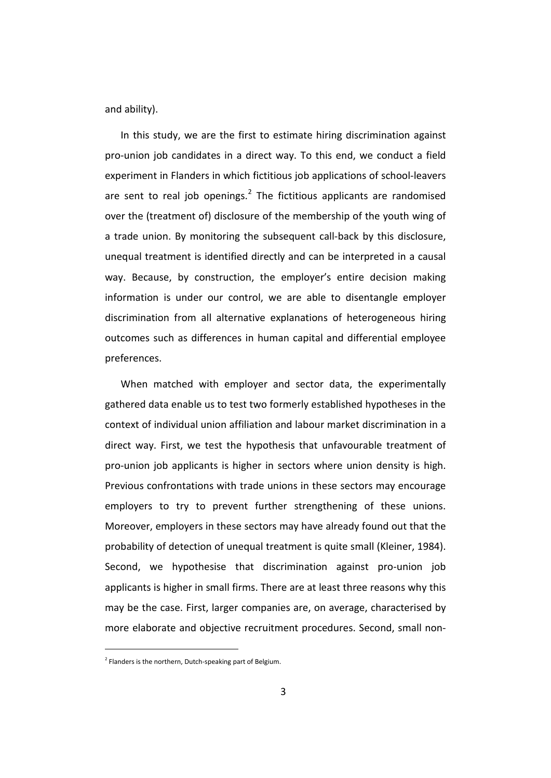and ability).

In this study, we are the first to estimate hiring discrimination against pro-union job candidates in a direct way. To this end, we conduct a field experiment in Flanders in which fictitious job applications of school-leavers are sent to real job openings. $<sup>2</sup>$  $<sup>2</sup>$  $<sup>2</sup>$  The fictitious applicants are randomised</sup> over the (treatment of) disclosure of the membership of the youth wing of a trade union. By monitoring the subsequent call-back by this disclosure, unequal treatment is identified directly and can be interpreted in a causal way. Because, by construction, the employer's entire decision making information is under our control, we are able to disentangle employer discrimination from all alternative explanations of heterogeneous hiring outcomes such as differences in human capital and differential employee preferences.

When matched with employer and sector data, the experimentally gathered data enable us to test two formerly established hypotheses in the context of individual union affiliation and labour market discrimination in a direct way. First, we test the hypothesis that unfavourable treatment of pro-union job applicants is higher in sectors where union density is high. Previous confrontations with trade unions in these sectors may encourage employers to try to prevent further strengthening of these unions. Moreover, employers in these sectors may have already found out that the probability of detection of unequal treatment is quite small (Kleiner, 1984). Second, we hypothesise that discrimination against pro-union job applicants is higher in small firms. There are at least three reasons why this may be the case. First, larger companies are, on average, characterised by more elaborate and objective recruitment procedures. Second, small non-

<span id="page-5-0"></span> $2$  Flanders is the northern, Dutch-speaking part of Belgium.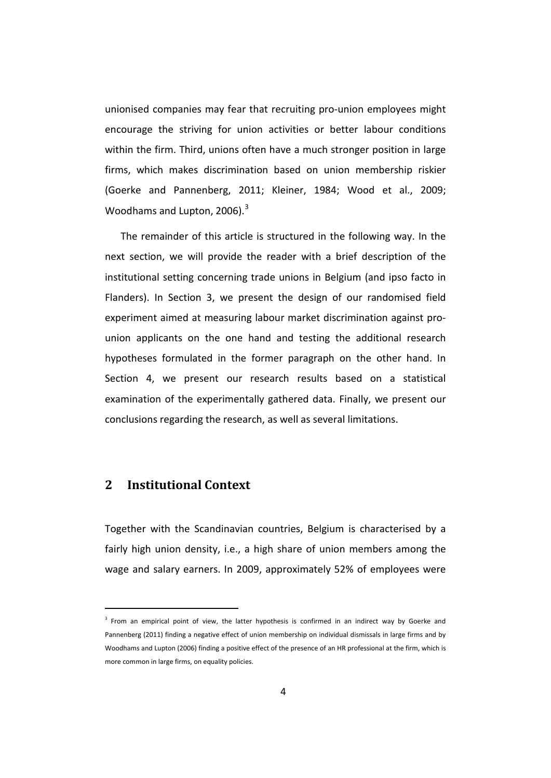unionised companies may fear that recruiting pro-union employees might encourage the striving for union activities or better labour conditions within the firm. Third, unions often have a much stronger position in large firms, which makes discrimination based on union membership riskier (Goerke and Pannenberg, 2011; Kleiner, 1984; Wood et al., 2009; Woodhams and Lupton,  $2006$ ).<sup>[3](#page-5-0)</sup>

The remainder of this article is structured in the following way. In the next section, we will provide the reader with a brief description of the institutional setting concerning trade unions in Belgium (and ipso facto in Flanders). In Section 3, we present the design of our randomised field experiment aimed at measuring labour market discrimination against prounion applicants on the one hand and testing the additional research hypotheses formulated in the former paragraph on the other hand. In Section 4, we present our research results based on a statistical examination of the experimentally gathered data. Finally, we present our conclusions regarding the research, as well as several limitations.

## **2 Institutional Context**

Together with the Scandinavian countries, Belgium is characterised by a fairly high union density, i.e., a high share of union members among the wage and salary earners. In 2009, approximately 52% of employees were

<span id="page-6-0"></span><sup>&</sup>lt;sup>3</sup> From an empirical point of view, the latter hypothesis is confirmed in an indirect way by Goerke and Pannenberg (2011) finding a negative effect of union membership on individual dismissals in large firms and by Woodhams and Lupton (2006) finding a positive effect of the presence of an HR professional at the firm, which is more common in large firms, on equality policies.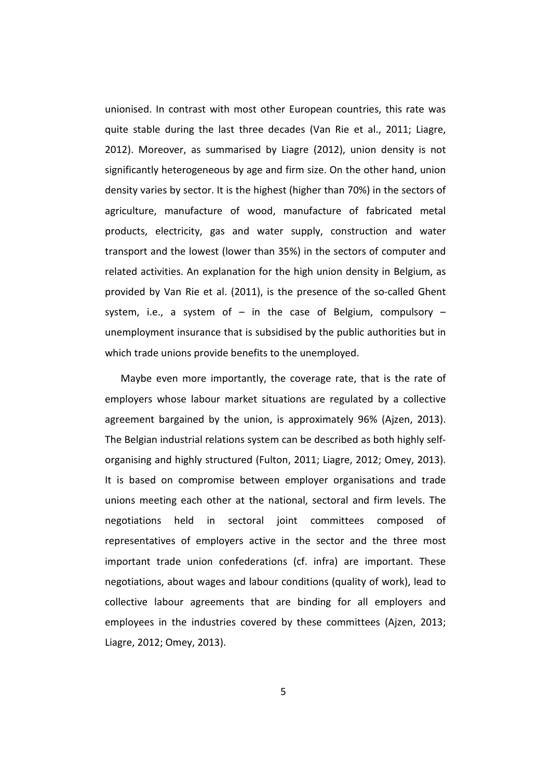unionised. In contrast with most other European countries, this rate was quite stable during the last three decades (Van Rie et al., 2011; Liagre, 2012). Moreover, as summarised by Liagre (2012), union density is not significantly heterogeneous by age and firm size. On the other hand, union density varies by sector. It is the highest (higher than 70%) in the sectors of agriculture, manufacture of wood, manufacture of fabricated metal products, electricity, gas and water supply, construction and water transport and the lowest (lower than 35%) in the sectors of computer and related activities. An explanation for the high union density in Belgium, as provided by Van Rie et al. (2011), is the presence of the so-called Ghent system, i.e., a system of  $-$  in the case of Belgium, compulsory  $$ unemployment insurance that is subsidised by the public authorities but in which trade unions provide benefits to the unemployed.

Maybe even more importantly, the coverage rate, that is the rate of employers whose labour market situations are regulated by a collective agreement bargained by the union, is approximately 96% (Ajzen, 2013). The Belgian industrial relations system can be described as both highly selforganising and highly structured (Fulton, 2011; Liagre, 2012; Omey, 2013). It is based on compromise between employer organisations and trade unions meeting each other at the national, sectoral and firm levels. The negotiations held in sectoral joint committees composed of representatives of employers active in the sector and the three most important trade union confederations (cf. infra) are important. These negotiations, about wages and labour conditions (quality of work), lead to collective labour agreements that are binding for all employers and employees in the industries covered by these committees (Ajzen, 2013; Liagre, 2012; Omey, 2013).

5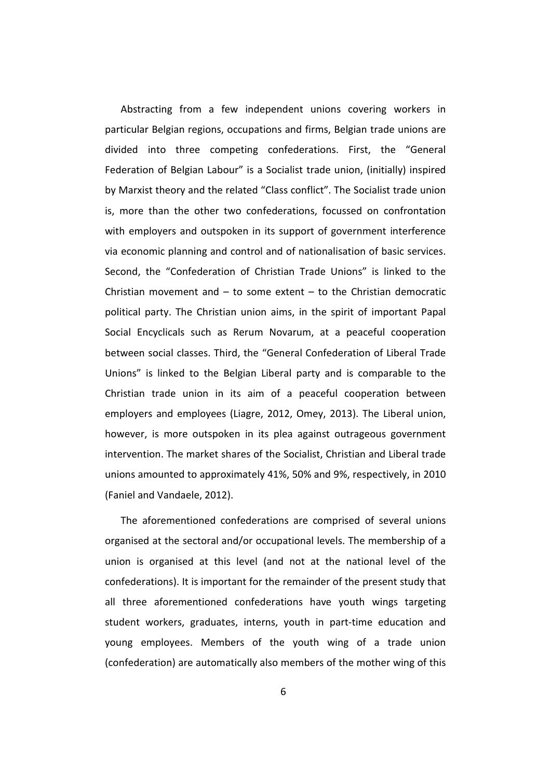Abstracting from a few independent unions covering workers in particular Belgian regions, occupations and firms, Belgian trade unions are divided into three competing confederations. First, the "General Federation of Belgian Labour" is a Socialist trade union, (initially) inspired by Marxist theory and the related "Class conflict". The Socialist trade union is, more than the other two confederations, focussed on confrontation with employers and outspoken in its support of government interference via economic planning and control and of nationalisation of basic services. Second, the "Confederation of Christian Trade Unions" is linked to the Christian movement and  $-$  to some extent  $-$  to the Christian democratic political party. The Christian union aims, in the spirit of important Papal Social Encyclicals such as Rerum Novarum, at a peaceful cooperation between social classes. Third, the "General Confederation of Liberal Trade Unions" is linked to the Belgian Liberal party and is comparable to the Christian trade union in its aim of a peaceful cooperation between employers and employees (Liagre, 2012, Omey, 2013). The Liberal union, however, is more outspoken in its plea against outrageous government intervention. The market shares of the Socialist, Christian and Liberal trade unions amounted to approximately 41%, 50% and 9%, respectively, in 2010 (Faniel and Vandaele, 2012).

The aforementioned confederations are comprised of several unions organised at the sectoral and/or occupational levels. The membership of a union is organised at this level (and not at the national level of the confederations). It is important for the remainder of the present study that all three aforementioned confederations have youth wings targeting student workers, graduates, interns, youth in part-time education and young employees. Members of the youth wing of a trade union (confederation) are automatically also members of the mother wing of this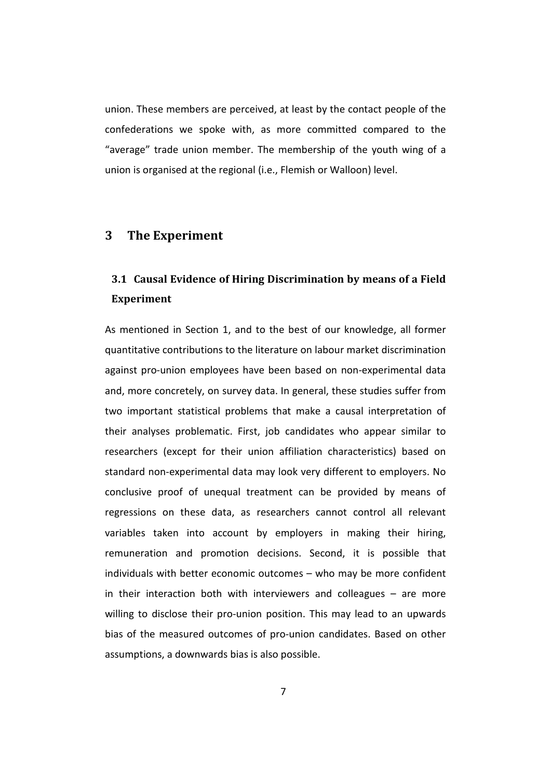union. These members are perceived, at least by the contact people of the confederations we spoke with, as more committed compared to the "average" trade union member. The membership of the youth wing of a union is organised at the regional (i.e., Flemish or Walloon) level.

#### **3 The Experiment**

## **3.1 Causal Evidence of Hiring Discrimination by means of a Field Experiment**

As mentioned in Section 1, and to the best of our knowledge, all former quantitative contributions to the literature on labour market discrimination against pro-union employees have been based on non-experimental data and, more concretely, on survey data. In general, these studies suffer from two important statistical problems that make a causal interpretation of their analyses problematic. First, job candidates who appear similar to researchers (except for their union affiliation characteristics) based on standard non-experimental data may look very different to employers. No conclusive proof of unequal treatment can be provided by means of regressions on these data, as researchers cannot control all relevant variables taken into account by employers in making their hiring, remuneration and promotion decisions. Second, it is possible that individuals with better economic outcomes – who may be more confident in their interaction both with interviewers and colleagues – are more willing to disclose their pro-union position. This may lead to an upwards bias of the measured outcomes of pro-union candidates. Based on other assumptions, a downwards bias is also possible.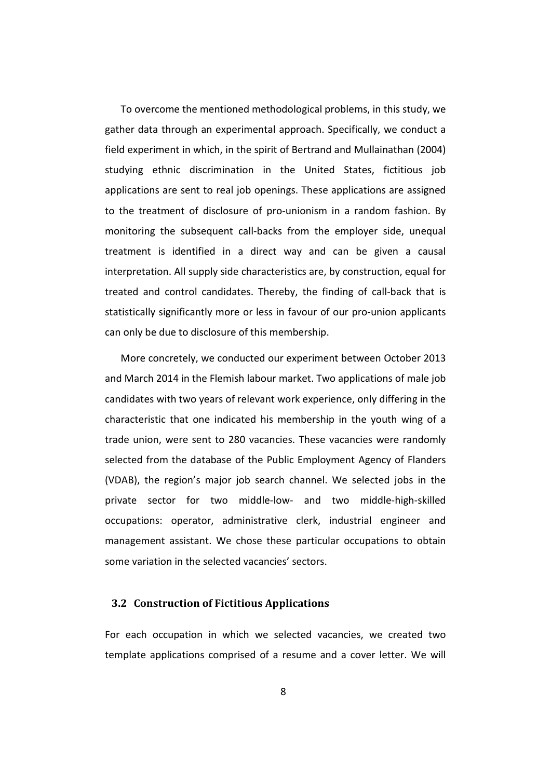To overcome the mentioned methodological problems, in this study, we gather data through an experimental approach. Specifically, we conduct a field experiment in which, in the spirit of Bertrand and Mullainathan (2004) studying ethnic discrimination in the United States, fictitious job applications are sent to real job openings. These applications are assigned to the treatment of disclosure of pro-unionism in a random fashion. By monitoring the subsequent call-backs from the employer side, unequal treatment is identified in a direct way and can be given a causal interpretation. All supply side characteristics are, by construction, equal for treated and control candidates. Thereby, the finding of call-back that is statistically significantly more or less in favour of our pro-union applicants can only be due to disclosure of this membership.

More concretely, we conducted our experiment between October 2013 and March 2014 in the Flemish labour market. Two applications of male job candidates with two years of relevant work experience, only differing in the characteristic that one indicated his membership in the youth wing of a trade union, were sent to 280 vacancies. These vacancies were randomly selected from the database of the Public Employment Agency of Flanders (VDAB), the region's major job search channel. We selected jobs in the private sector for two middle-low- and two middle-high-skilled occupations: operator, administrative clerk, industrial engineer and management assistant. We chose these particular occupations to obtain some variation in the selected vacancies' sectors.

#### **3.2 Construction of Fictitious Applications**

For each occupation in which we selected vacancies, we created two template applications comprised of a resume and a cover letter. We will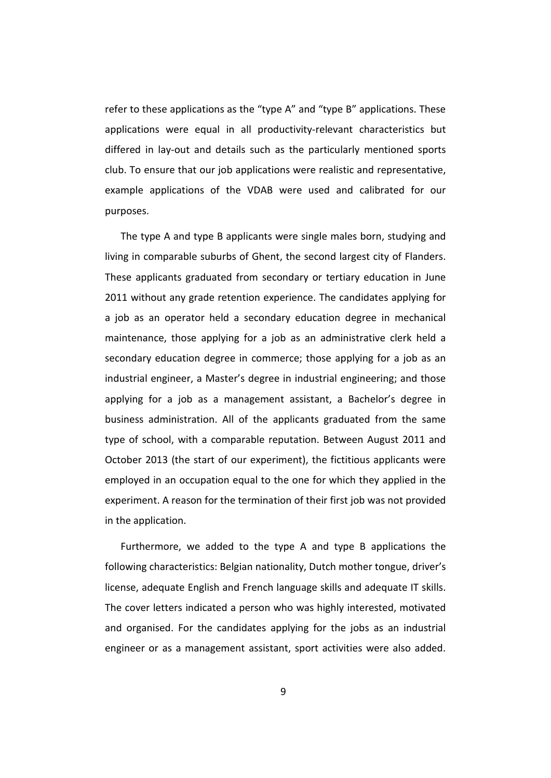refer to these applications as the "type A" and "type B" applications. These applications were equal in all productivity-relevant characteristics but differed in lay-out and details such as the particularly mentioned sports club. To ensure that our job applications were realistic and representative, example applications of the VDAB were used and calibrated for our purposes.

The type A and type B applicants were single males born, studying and living in comparable suburbs of Ghent, the second largest city of Flanders. These applicants graduated from secondary or tertiary education in June 2011 without any grade retention experience. The candidates applying for a job as an operator held a secondary education degree in mechanical maintenance, those applying for a job as an administrative clerk held a secondary education degree in commerce; those applying for a job as an industrial engineer, a Master's degree in industrial engineering; and those applying for a job as a management assistant, a Bachelor's degree in business administration. All of the applicants graduated from the same type of school, with a comparable reputation. Between August 2011 and October 2013 (the start of our experiment), the fictitious applicants were employed in an occupation equal to the one for which they applied in the experiment. A reason for the termination of their first job was not provided in the application.

Furthermore, we added to the type A and type B applications the following characteristics: Belgian nationality, Dutch mother tongue, driver's license, adequate English and French language skills and adequate IT skills. The cover letters indicated a person who was highly interested, motivated and organised. For the candidates applying for the jobs as an industrial engineer or as a management assistant, sport activities were also added.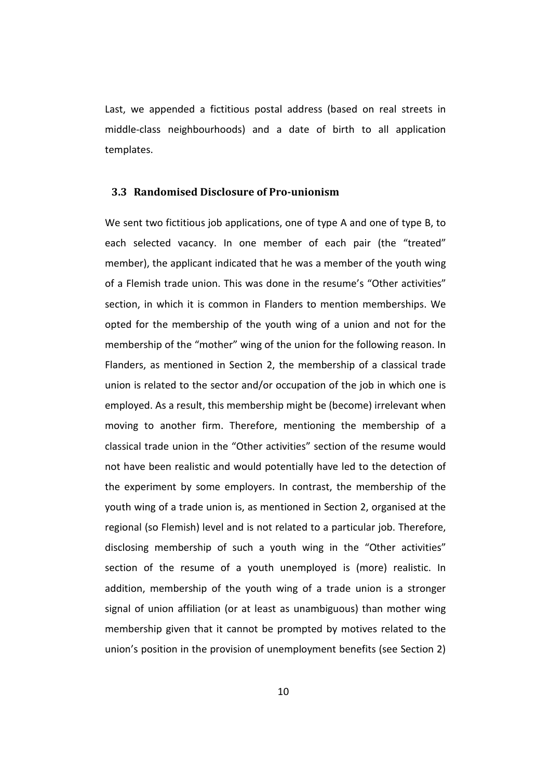Last, we appended a fictitious postal address (based on real streets in middle-class neighbourhoods) and a date of birth to all application templates.

#### **3.3 Randomised Disclosure of Pro-unionism**

We sent two fictitious job applications, one of type A and one of type B, to each selected vacancy. In one member of each pair (the "treated" member), the applicant indicated that he was a member of the youth wing of a Flemish trade union. This was done in the resume's "Other activities" section, in which it is common in Flanders to mention memberships. We opted for the membership of the youth wing of a union and not for the membership of the "mother" wing of the union for the following reason. In Flanders, as mentioned in Section 2, the membership of a classical trade union is related to the sector and/or occupation of the job in which one is employed. As a result, this membership might be (become) irrelevant when moving to another firm. Therefore, mentioning the membership of a classical trade union in the "Other activities" section of the resume would not have been realistic and would potentially have led to the detection of the experiment by some employers. In contrast, the membership of the youth wing of a trade union is, as mentioned in Section 2, organised at the regional (so Flemish) level and is not related to a particular job. Therefore, disclosing membership of such a youth wing in the "Other activities" section of the resume of a youth unemployed is (more) realistic. In addition, membership of the youth wing of a trade union is a stronger signal of union affiliation (or at least as unambiguous) than mother wing membership given that it cannot be prompted by motives related to the union's position in the provision of unemployment benefits (see Section 2)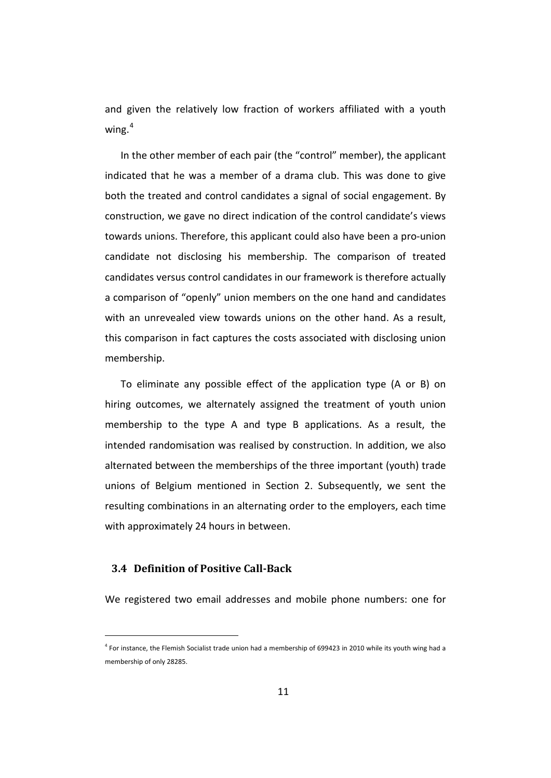and given the relatively low fraction of workers affiliated with a youth wing. $4$ 

In the other member of each pair (the "control" member), the applicant indicated that he was a member of a drama club. This was done to give both the treated and control candidates a signal of social engagement. By construction, we gave no direct indication of the control candidate's views towards unions. Therefore, this applicant could also have been a pro-union candidate not disclosing his membership. The comparison of treated candidates versus control candidates in our framework is therefore actually a comparison of "openly" union members on the one hand and candidates with an unrevealed view towards unions on the other hand. As a result, this comparison in fact captures the costs associated with disclosing union membership.

To eliminate any possible effect of the application type (A or B) on hiring outcomes, we alternately assigned the treatment of youth union membership to the type A and type B applications. As a result, the intended randomisation was realised by construction. In addition, we also alternated between the memberships of the three important (youth) trade unions of Belgium mentioned in Section 2. Subsequently, we sent the resulting combinations in an alternating order to the employers, each time with approximately 24 hours in between.

#### **3.4 Definition of Positive Call-Back**

We registered two email addresses and mobile phone numbers: one for

<span id="page-13-0"></span><sup>&</sup>lt;sup>4</sup> For instance, the Flemish Socialist trade union had a membership of 699423 in 2010 while its youth wing had a membership of only 28285.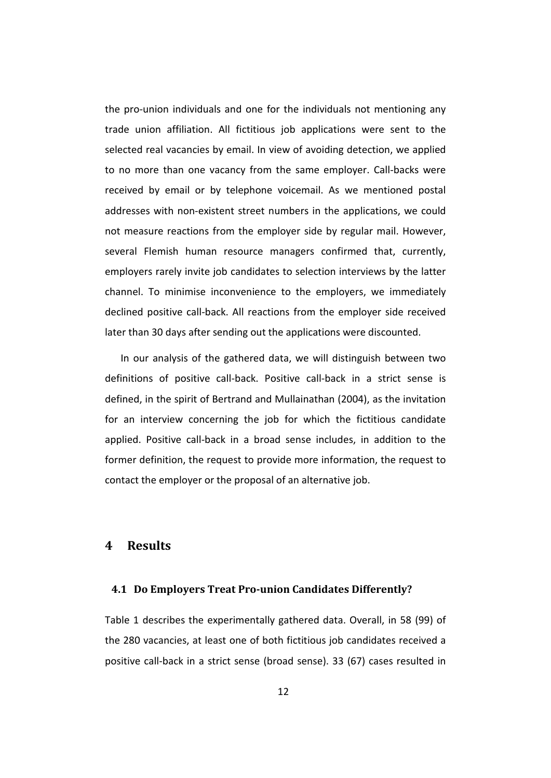the pro-union individuals and one for the individuals not mentioning any trade union affiliation. All fictitious job applications were sent to the selected real vacancies by email. In view of avoiding detection, we applied to no more than one vacancy from the same employer. Call-backs were received by email or by telephone voicemail. As we mentioned postal addresses with non-existent street numbers in the applications, we could not measure reactions from the employer side by regular mail. However, several Flemish human resource managers confirmed that, currently, employers rarely invite job candidates to selection interviews by the latter channel. To minimise inconvenience to the employers, we immediately declined positive call-back. All reactions from the employer side received later than 30 days after sending out the applications were discounted.

In our analysis of the gathered data, we will distinguish between two definitions of positive call-back. Positive call-back in a strict sense is defined, in the spirit of Bertrand and Mullainathan (2004), as the invitation for an interview concerning the job for which the fictitious candidate applied. Positive call-back in a broad sense includes, in addition to the former definition, the request to provide more information, the request to contact the employer or the proposal of an alternative job.

#### **4 Results**

#### **4.1 Do Employers Treat Pro-union Candidates Differently?**

Table 1 describes the experimentally gathered data. Overall, in 58 (99) of the 280 vacancies, at least one of both fictitious job candidates received a positive call-back in a strict sense (broad sense). 33 (67) cases resulted in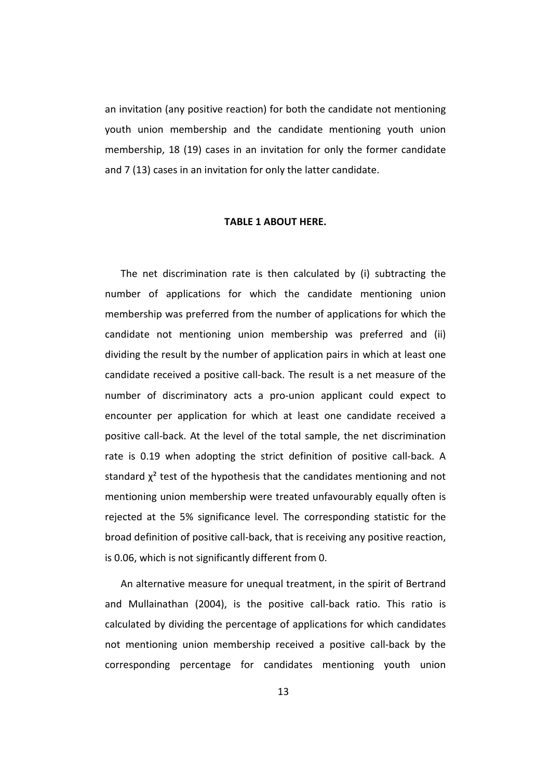an invitation (any positive reaction) for both the candidate not mentioning youth union membership and the candidate mentioning youth union membership, 18 (19) cases in an invitation for only the former candidate and 7 (13) cases in an invitation for only the latter candidate.

#### **TABLE 1 ABOUT HERE.**

The net discrimination rate is then calculated by (i) subtracting the number of applications for which the candidate mentioning union membership was preferred from the number of applications for which the candidate not mentioning union membership was preferred and (ii) dividing the result by the number of application pairs in which at least one candidate received a positive call-back. The result is a net measure of the number of discriminatory acts a pro-union applicant could expect to encounter per application for which at least one candidate received a positive call-back. At the level of the total sample, the net discrimination rate is 0.19 when adopting the strict definition of positive call-back. A standard  $\chi^2$  test of the hypothesis that the candidates mentioning and not mentioning union membership were treated unfavourably equally often is rejected at the 5% significance level. The corresponding statistic for the broad definition of positive call-back, that is receiving any positive reaction, is 0.06, which is not significantly different from 0.

An alternative measure for unequal treatment, in the spirit of Bertrand and Mullainathan (2004), is the positive call-back ratio. This ratio is calculated by dividing the percentage of applications for which candidates not mentioning union membership received a positive call-back by the corresponding percentage for candidates mentioning youth union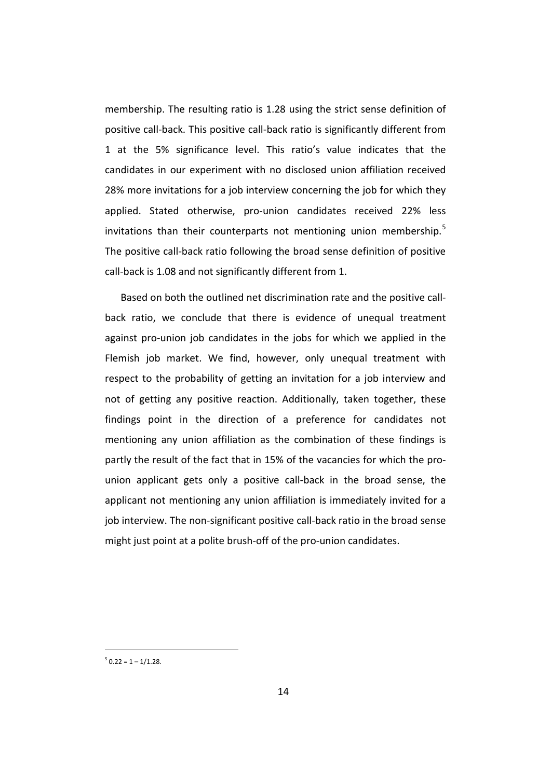membership. The resulting ratio is 1.28 using the strict sense definition of positive call-back. This positive call-back ratio is significantly different from 1 at the 5% significance level. This ratio's value indicates that the candidates in our experiment with no disclosed union affiliation received 28% more invitations for a job interview concerning the job for which they applied. Stated otherwise, pro-union candidates received 22% less invitations than their counterparts not mentioning union membership.<sup>[5](#page-13-0)</sup> The positive call-back ratio following the broad sense definition of positive call-back is 1.08 and not significantly different from 1.

Based on both the outlined net discrimination rate and the positive callback ratio, we conclude that there is evidence of unequal treatment against pro-union job candidates in the jobs for which we applied in the Flemish job market. We find, however, only unequal treatment with respect to the probability of getting an invitation for a job interview and not of getting any positive reaction. Additionally, taken together, these findings point in the direction of a preference for candidates not mentioning any union affiliation as the combination of these findings is partly the result of the fact that in 15% of the vacancies for which the prounion applicant gets only a positive call-back in the broad sense, the applicant not mentioning any union affiliation is immediately invited for a job interview. The non-significant positive call-back ratio in the broad sense might just point at a polite brush-off of the pro-union candidates.

<span id="page-16-0"></span> $5$  0.22 = 1 – 1/1.28.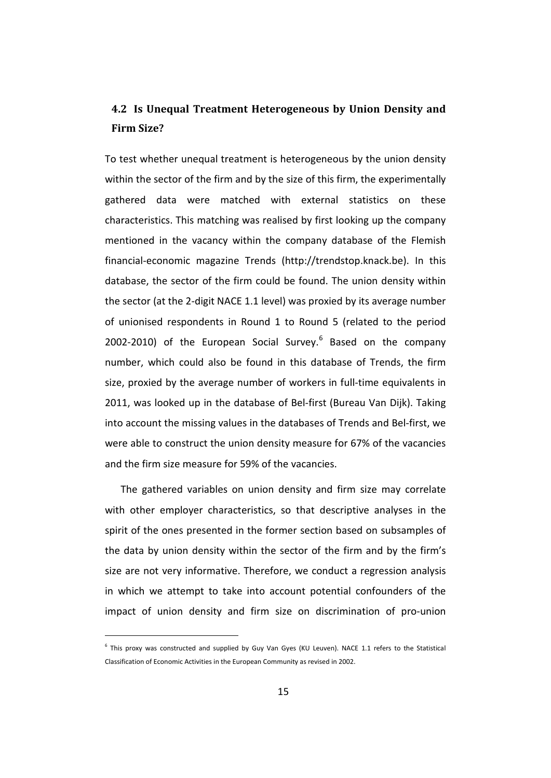## **4.2 Is Unequal Treatment Heterogeneous by Union Density and Firm Size?**

To test whether unequal treatment is heterogeneous by the union density within the sector of the firm and by the size of this firm, the experimentally gathered data were matched with external statistics on these characteristics. This matching was realised by first looking up the company mentioned in the vacancy within the company database of the Flemish financial-economic magazine Trends (http://trendstop.knack.be). In this database, the sector of the firm could be found. The union density within the sector (at the 2-digit NACE 1.1 level) was proxied by its average number of unionised respondents in Round 1 to Round 5 (related to the period 2002-2010) of the European Social Survey. $6$  Based on the company number, which could also be found in this database of Trends, the firm size, proxied by the average number of workers in full-time equivalents in 2011, was looked up in the database of Bel-first (Bureau Van Dijk). Taking into account the missing values in the databases of Trends and Bel-first, we were able to construct the union density measure for 67% of the vacancies and the firm size measure for 59% of the vacancies.

The gathered variables on union density and firm size may correlate with other employer characteristics, so that descriptive analyses in the spirit of the ones presented in the former section based on subsamples of the data by union density within the sector of the firm and by the firm's size are not very informative. Therefore, we conduct a regression analysis in which we attempt to take into account potential confounders of the impact of union density and firm size on discrimination of pro-union

<span id="page-17-0"></span> $6$  This proxy was constructed and supplied by Guy Van Gyes (KU Leuven). NACE 1.1 refers to the Statistical Classification of Economic Activities in the European Community as revised in 2002.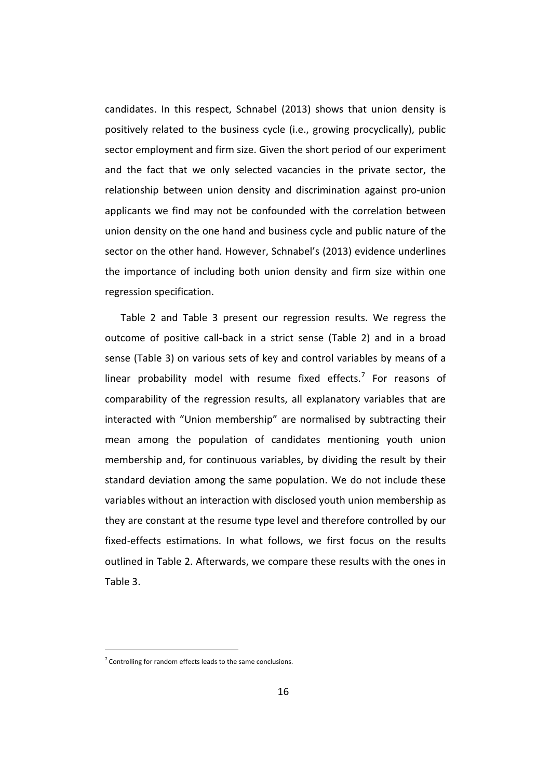candidates. In this respect, Schnabel (2013) shows that union density is positively related to the business cycle (i.e., growing procyclically), public sector employment and firm size. Given the short period of our experiment and the fact that we only selected vacancies in the private sector, the relationship between union density and discrimination against pro-union applicants we find may not be confounded with the correlation between union density on the one hand and business cycle and public nature of the sector on the other hand. However, Schnabel's (2013) evidence underlines the importance of including both union density and firm size within one regression specification.

Table 2 and Table 3 present our regression results. We regress the outcome of positive call-back in a strict sense (Table 2) and in a broad sense (Table 3) on various sets of key and control variables by means of a linear probability model with resume fixed effects.<sup>[7](#page-17-0)</sup> For reasons of comparability of the regression results, all explanatory variables that are interacted with "Union membership" are normalised by subtracting their mean among the population of candidates mentioning youth union membership and, for continuous variables, by dividing the result by their standard deviation among the same population. We do not include these variables without an interaction with disclosed youth union membership as they are constant at the resume type level and therefore controlled by our fixed-effects estimations. In what follows, we first focus on the results outlined in Table 2. Afterwards, we compare these results with the ones in Table 3.

 $<sup>7</sup>$  Controlling for random effects leads to the same conclusions.</sup>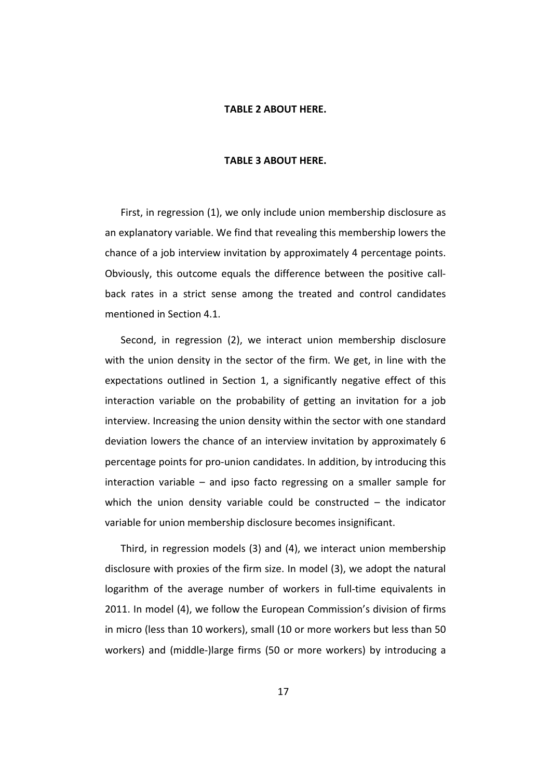#### **TABLE 2 ABOUT HERE.**

#### **TABLE 3 ABOUT HERE.**

First, in regression (1), we only include union membership disclosure as an explanatory variable. We find that revealing this membership lowers the chance of a job interview invitation by approximately 4 percentage points. Obviously, this outcome equals the difference between the positive callback rates in a strict sense among the treated and control candidates mentioned in Section 4.1.

Second, in regression (2), we interact union membership disclosure with the union density in the sector of the firm. We get, in line with the expectations outlined in Section 1, a significantly negative effect of this interaction variable on the probability of getting an invitation for a job interview. Increasing the union density within the sector with one standard deviation lowers the chance of an interview invitation by approximately 6 percentage points for pro-union candidates. In addition, by introducing this interaction variable – and ipso facto regressing on a smaller sample for which the union density variable could be constructed  $-$  the indicator variable for union membership disclosure becomes insignificant.

Third, in regression models (3) and (4), we interact union membership disclosure with proxies of the firm size. In model (3), we adopt the natural logarithm of the average number of workers in full-time equivalents in 2011. In model (4), we follow the European Commission's division of firms in micro (less than 10 workers), small (10 or more workers but less than 50 workers) and (middle-)large firms (50 or more workers) by introducing a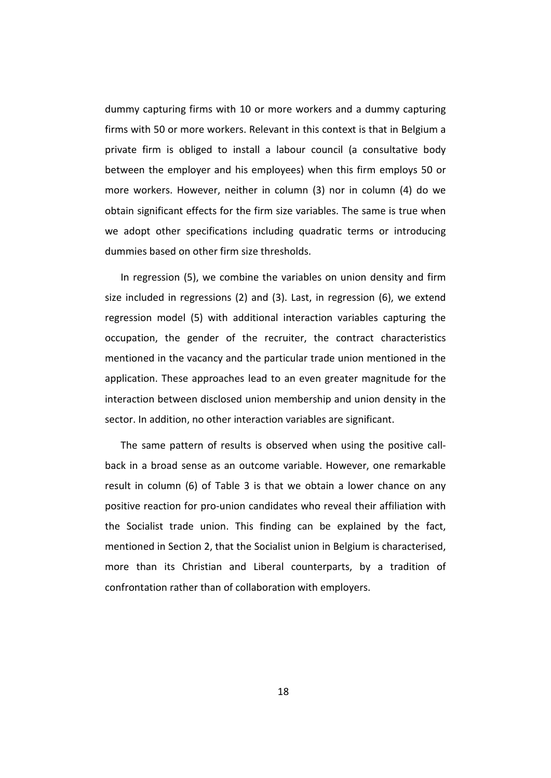dummy capturing firms with 10 or more workers and a dummy capturing firms with 50 or more workers. Relevant in this context is that in Belgium a private firm is obliged to install a labour council (a consultative body between the employer and his employees) when this firm employs 50 or more workers. However, neither in column (3) nor in column (4) do we obtain significant effects for the firm size variables. The same is true when we adopt other specifications including quadratic terms or introducing dummies based on other firm size thresholds.

In regression (5), we combine the variables on union density and firm size included in regressions (2) and (3). Last, in regression (6), we extend regression model (5) with additional interaction variables capturing the occupation, the gender of the recruiter, the contract characteristics mentioned in the vacancy and the particular trade union mentioned in the application. These approaches lead to an even greater magnitude for the interaction between disclosed union membership and union density in the sector. In addition, no other interaction variables are significant.

The same pattern of results is observed when using the positive callback in a broad sense as an outcome variable. However, one remarkable result in column (6) of Table 3 is that we obtain a lower chance on any positive reaction for pro-union candidates who reveal their affiliation with the Socialist trade union. This finding can be explained by the fact, mentioned in Section 2, that the Socialist union in Belgium is characterised, more than its Christian and Liberal counterparts, by a tradition of confrontation rather than of collaboration with employers.

18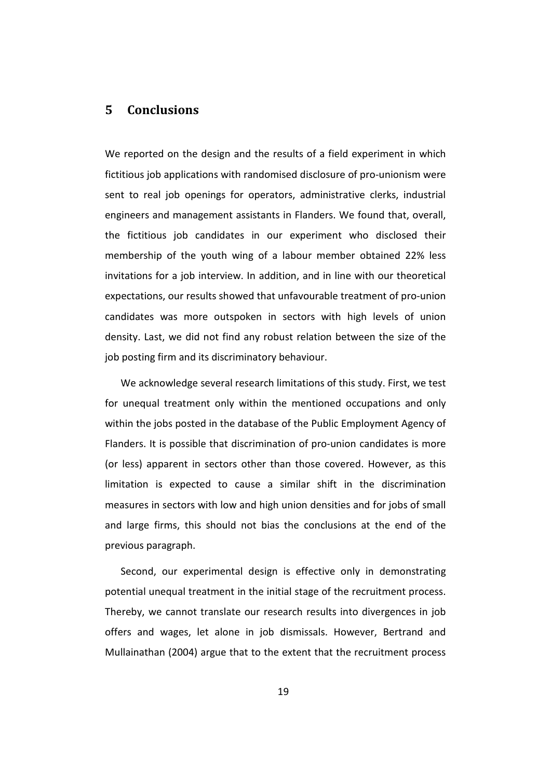### **5 Conclusions**

We reported on the design and the results of a field experiment in which fictitious job applications with randomised disclosure of pro-unionism were sent to real job openings for operators, administrative clerks, industrial engineers and management assistants in Flanders. We found that, overall, the fictitious job candidates in our experiment who disclosed their membership of the youth wing of a labour member obtained 22% less invitations for a job interview. In addition, and in line with our theoretical expectations, our results showed that unfavourable treatment of pro-union candidates was more outspoken in sectors with high levels of union density. Last, we did not find any robust relation between the size of the job posting firm and its discriminatory behaviour.

We acknowledge several research limitations of this study. First, we test for unequal treatment only within the mentioned occupations and only within the jobs posted in the database of the Public Employment Agency of Flanders. It is possible that discrimination of pro-union candidates is more (or less) apparent in sectors other than those covered. However, as this limitation is expected to cause a similar shift in the discrimination measures in sectors with low and high union densities and for jobs of small and large firms, this should not bias the conclusions at the end of the previous paragraph.

Second, our experimental design is effective only in demonstrating potential unequal treatment in the initial stage of the recruitment process. Thereby, we cannot translate our research results into divergences in job offers and wages, let alone in job dismissals. However, Bertrand and Mullainathan (2004) argue that to the extent that the recruitment process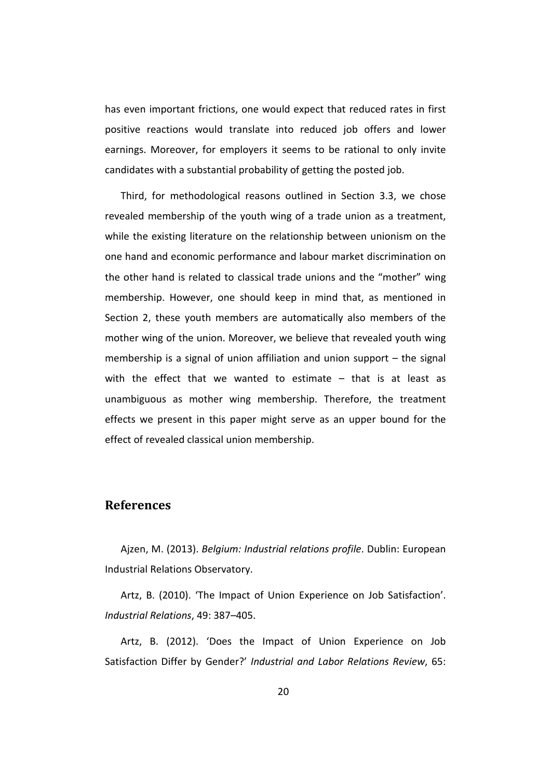has even important frictions, one would expect that reduced rates in first positive reactions would translate into reduced job offers and lower earnings. Moreover, for employers it seems to be rational to only invite candidates with a substantial probability of getting the posted job.

Third, for methodological reasons outlined in Section 3.3, we chose revealed membership of the youth wing of a trade union as a treatment, while the existing literature on the relationship between unionism on the one hand and economic performance and labour market discrimination on the other hand is related to classical trade unions and the "mother" wing membership. However, one should keep in mind that, as mentioned in Section 2, these youth members are automatically also members of the mother wing of the union. Moreover, we believe that revealed youth wing membership is a signal of union affiliation and union support – the signal with the effect that we wanted to estimate – that is at least as unambiguous as mother wing membership. Therefore, the treatment effects we present in this paper might serve as an upper bound for the effect of revealed classical union membership.

### **References**

Ajzen, M. (2013). *Belgium: Industrial relations profile*. Dublin: European Industrial Relations Observatory.

Artz, B. (2010). 'The Impact of Union Experience on Job Satisfaction'. *Industrial Relations*, 49: 387–405.

Artz, B. (2012). 'Does the Impact of Union Experience on Job Satisfaction Differ by Gender?' *Industrial and Labor Relations Review*, 65: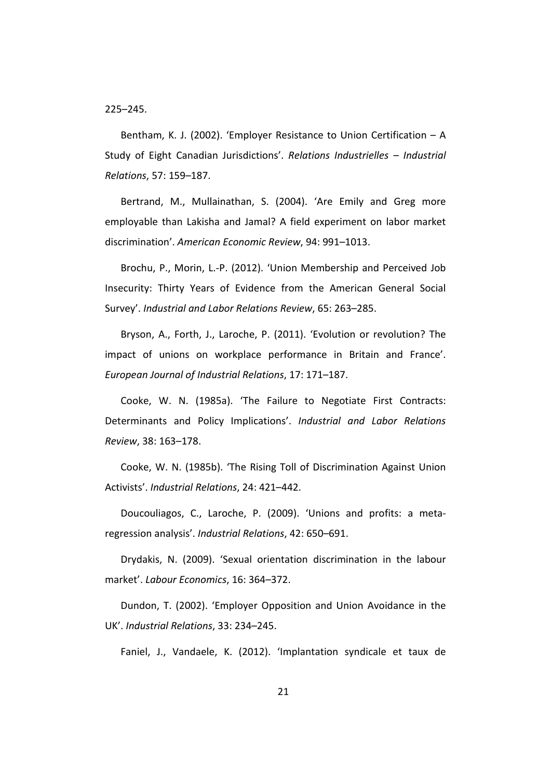225–245.

Bentham, K. J. (2002). 'Employer Resistance to Union Certification – A Study of Eight Canadian Jurisdictions'. *Relations Industrielles – Industrial Relations*, 57: 159–187.

Bertrand, M., Mullainathan, S. (2004). 'Are Emily and Greg more employable than Lakisha and Jamal? A field experiment on labor market discrimination'. *American Economic Review*, 94: 991–1013.

Brochu, P., Morin, L.-P. (2012). 'Union Membership and Perceived Job Insecurity: Thirty Years of Evidence from the American General Social Survey'. *Industrial and Labor Relations Review*, 65: 263–285.

Bryson, A., Forth, J., Laroche, P. (2011). 'Evolution or revolution? The impact of unions on workplace performance in Britain and France'. *European Journal of Industrial Relations*, 17: 171–187.

Cooke, W. N. (1985a). 'The Failure to Negotiate First Contracts: Determinants and Policy Implications'. *Industrial and Labor Relations Review*, 38: 163–178.

Cooke, W. N. (1985b). 'The Rising Toll of Discrimination Against Union Activists'. *Industrial Relations*, 24: 421–442.

Doucouliagos, C., Laroche, P. (2009). 'Unions and profits: a metaregression analysis'. *Industrial Relations*, 42: 650–691.

Drydakis, N. (2009). 'Sexual orientation discrimination in the labour market'. *Labour Economics*, 16: 364–372.

Dundon, T. (2002). 'Employer Opposition and Union Avoidance in the UK'. *Industrial Relations*, 33: 234–245.

Faniel, J., Vandaele, K. (2012). 'Implantation syndicale et taux de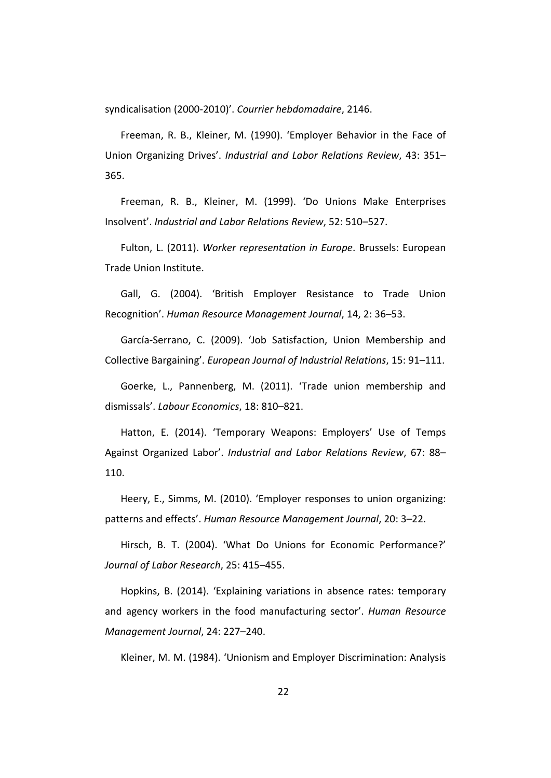syndicalisation (2000-2010)'. *Courrier hebdomadaire*, 2146.

Freeman, R. B., Kleiner, M. (1990). 'Employer Behavior in the Face of Union Organizing Drives'. *Industrial and Labor Relations Review*, 43: 351– 365.

Freeman, R. B., Kleiner, M. (1999). 'Do Unions Make Enterprises Insolvent'. *Industrial and Labor Relations Review*, 52: 510–527.

Fulton, L. (2011). *Worker representation in Europe*. Brussels: European Trade Union Institute.

Gall, G. (2004). 'British Employer Resistance to Trade Union Recognition'. *Human Resource Management Journal*, 14, 2: 36–53.

García-Serrano, C. (2009). 'Job Satisfaction, Union Membership and Collective Bargaining'. *European Journal of Industrial Relations*, 15: 91–111.

Goerke, L., Pannenberg, M. (2011). 'Trade union membership and dismissals'. *Labour Economics*, 18: 810–821.

Hatton, E. (2014). 'Temporary Weapons: Employers' Use of Temps Against Organized Labor'. *Industrial and Labor Relations Review*, 67: 88– 110.

Heery, E., Simms, M. (2010). 'Employer responses to union organizing: patterns and effects'. *Human Resource Management Journal*, 20: 3–22.

Hirsch, B. T. (2004). 'What Do Unions for Economic Performance?' *Journal of Labor Research*, 25: 415–455.

Hopkins, B. (2014). 'Explaining variations in absence rates: temporary and agency workers in the food manufacturing sector'. *Human Resource Management Journal*, 24: 227–240.

Kleiner, M. M. (1984). 'Unionism and Employer Discrimination: Analysis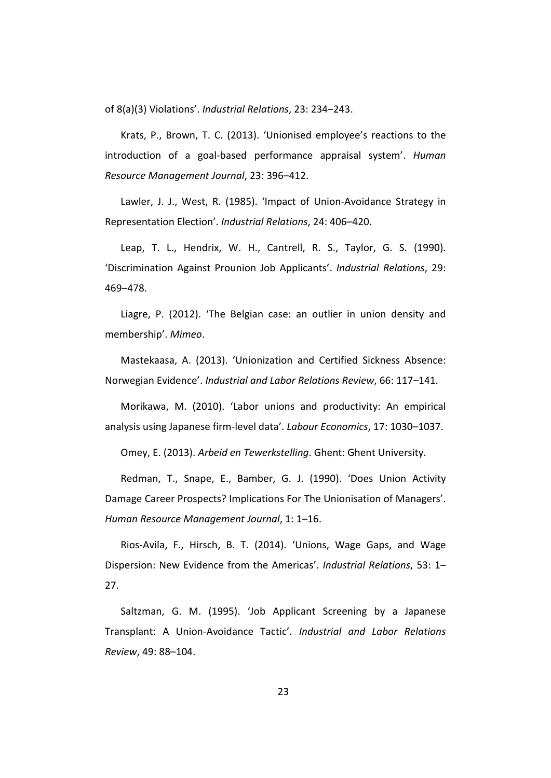of 8(a)(3) Violations'. *Industrial Relations*, 23: 234–243.

Krats, P., Brown, T. C. (2013). 'Unionised employee's reactions to the introduction of a goal-based performance appraisal system'. *Human Resource Management Journal*, 23: 396–412.

Lawler, J. J., West, R. (1985). 'Impact of Union-Avoidance Strategy in Representation Election'. *Industrial Relations*, 24: 406–420.

Leap, T. L., Hendrix, W. H., Cantrell, R. S., Taylor, G. S. (1990). 'Discrimination Against Prounion Job Applicants'. *Industrial Relations*, 29: 469–478.

Liagre, P. (2012). 'The Belgian case: an outlier in union density and membership'. *Mimeo*.

Mastekaasa, A. (2013). 'Unionization and Certified Sickness Absence: Norwegian Evidence'. *Industrial and Labor Relations Review*, 66: 117–141.

Morikawa, M. (2010). 'Labor unions and productivity: An empirical analysis using Japanese firm-level data'. *Labour Economics*, 17: 1030–1037.

Omey, E. (2013). *Arbeid en Tewerkstelling*. Ghent: Ghent University.

Redman, T., Snape, E., Bamber, G. J. (1990). 'Does Union Activity Damage Career Prospects? Implications For The Unionisation of Managers'. *Human Resource Management Journal*, 1: 1–16.

Rios-Avila, F., Hirsch, B. T. (2014). 'Unions, Wage Gaps, and Wage Dispersion: New Evidence from the Americas'. *Industrial Relations*, 53: 1– 27.

Saltzman, G. M. (1995). 'Job Applicant Screening by a Japanese Transplant: A Union-Avoidance Tactic'. *Industrial and Labor Relations Review*, 49: 88–104.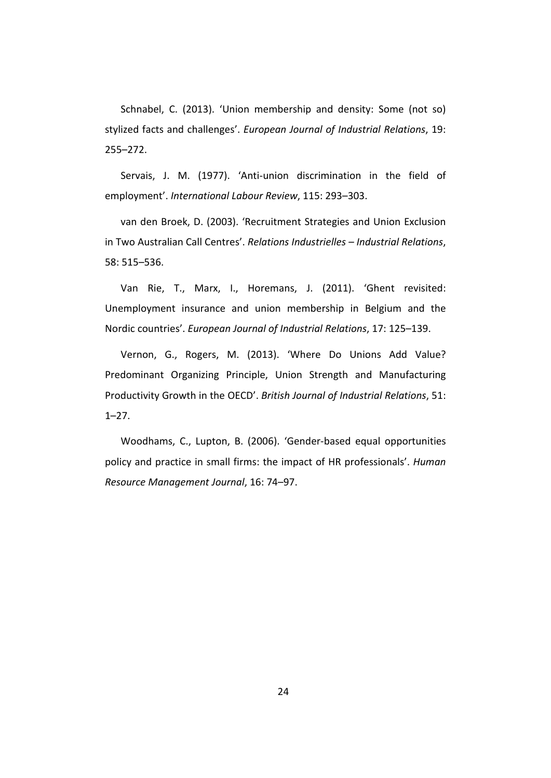Schnabel, C. (2013). 'Union membership and density: Some (not so) stylized facts and challenges'. *European Journal of Industrial Relations*, 19: 255–272.

Servais, J. M. (1977). 'Anti-union discrimination in the field of employment'. *International Labour Review*, 115: 293–303.

van den Broek, D. (2003). 'Recruitment Strategies and Union Exclusion in Two Australian Call Centres'. *Relations Industrielles – Industrial Relations*, 58: 515–536.

Van Rie, T., Marx, I., Horemans, J. (2011). 'Ghent revisited: Unemployment insurance and union membership in Belgium and the Nordic countries'. *European Journal of Industrial Relations*, 17: 125–139.

Vernon, G., Rogers, M. (2013). 'Where Do Unions Add Value? Predominant Organizing Principle, Union Strength and Manufacturing Productivity Growth in the OECD'. *British Journal of Industrial Relations*, 51: 1–27.

Woodhams, C., Lupton, B. (2006). 'Gender-based equal opportunities policy and practice in small firms: the impact of HR professionals'. *Human Resource Management Journal*, 16: 74–97.

24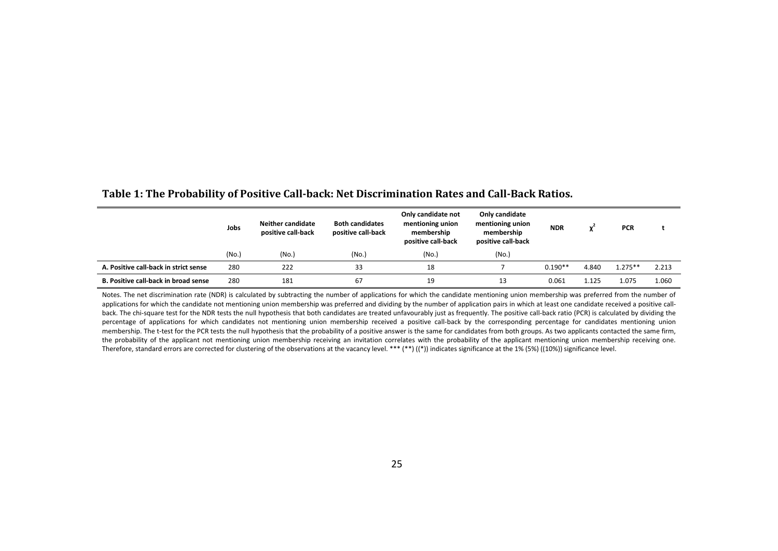|                                       | Jobs  |       | <b>Neither candidate</b><br><b>Both candidates</b><br>positive call-back<br>positive call-back |       | Only candidate<br>mentioning union<br>membership<br>positive call-back | <b>NDR</b> |       | <b>PCR</b> |       |  |
|---------------------------------------|-------|-------|------------------------------------------------------------------------------------------------|-------|------------------------------------------------------------------------|------------|-------|------------|-------|--|
|                                       | (No.) | (No.) | (No.)                                                                                          | (No.) | (No.)                                                                  |            |       |            |       |  |
| A. Positive call-back in strict sense | 280   | 222   | 33                                                                                             | 18    |                                                                        | $0.190**$  | 4.840 | $1.275**$  | 2.213 |  |
| B. Positive call-back in broad sense  | 280   | 181   | 67                                                                                             | 19    | 13                                                                     | 0.061      | 1.125 | 1.075      | 1.060 |  |

#### **Table 1: The Probability of Positive Call-back: Net Discrimination Rates and Call-Back Ratios.**

Notes. The net discrimination rate (NDR) is calculated by subtracting the number of applications for which the candidate mentioning union membership was preferred from the number of applications for which the candidate not mentioning union membership was preferred and dividing by the number of application pairs in which at least one candidate received a positive callback. The chi-square test for the NDR tests the null hypothesis that both candidates are treated unfavourably just as frequently. The positive call-back ratio (PCR) is calculated by dividing the percentage of applications for which candidates not mentioning union membership received a positive call-back by the corresponding percentage for candidates mentioning union membership. The t-test for the PCR tests the null hypothesis that the probability of a positive answer is the same for candidates from both groups. As two applicants contacted the same firm, the probability of the applicant not mentioning union membership receiving an invitation correlates with the probability of the applicant mentioning union membership receiving one. Therefore, standard errors are corrected for clustering of the observations at the vacancy level. \*\*\* (\*\*) ((\*)) indicates significance at the 1% (5%) ((10%)) significance level.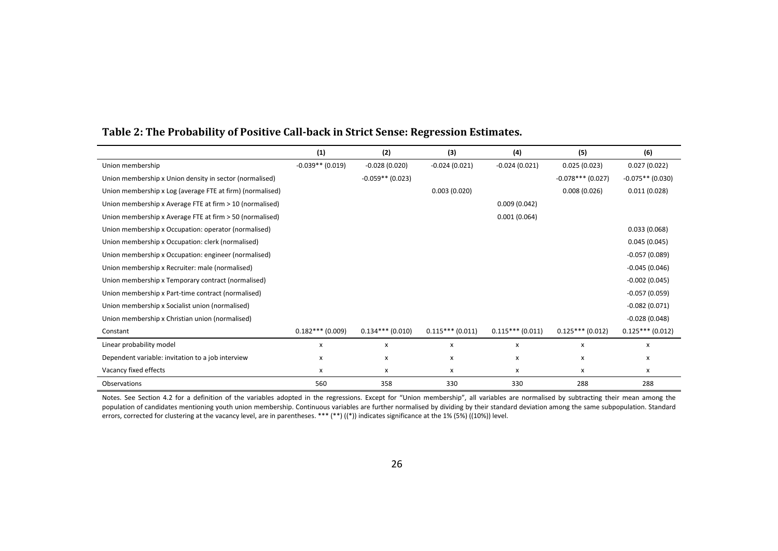|                                                           | (1)                | (2)                | (3)               | (4)               | (5)                 | (6)                |
|-----------------------------------------------------------|--------------------|--------------------|-------------------|-------------------|---------------------|--------------------|
| Union membership                                          | $-0.039**$ (0.019) | $-0.028(0.020)$    | $-0.024(0.021)$   | $-0.024(0.021)$   | 0.025(0.023)        | 0.027(0.022)       |
| Union membership x Union density in sector (normalised)   |                    | $-0.059**$ (0.023) |                   |                   | $-0.078***$ (0.027) | $-0.075**$ (0.030) |
| Union membership x Log (average FTE at firm) (normalised) |                    |                    | 0.003(0.020)      |                   | 0.008(0.026)        | 0.011(0.028)       |
| Union membership x Average FTE at firm > 10 (normalised)  |                    |                    |                   | 0.009(0.042)      |                     |                    |
| Union membership x Average FTE at firm > 50 (normalised)  |                    |                    |                   | 0.001(0.064)      |                     |                    |
| Union membership x Occupation: operator (normalised)      |                    |                    |                   |                   |                     | 0.033(0.068)       |
| Union membership x Occupation: clerk (normalised)         |                    |                    |                   |                   |                     | 0.045(0.045)       |
| Union membership x Occupation: engineer (normalised)      |                    |                    |                   |                   |                     | $-0.057(0.089)$    |
| Union membership x Recruiter: male (normalised)           |                    |                    |                   |                   |                     | $-0.045(0.046)$    |
| Union membership x Temporary contract (normalised)        |                    |                    |                   |                   |                     | $-0.002(0.045)$    |
| Union membership x Part-time contract (normalised)        |                    |                    |                   |                   |                     | $-0.057(0.059)$    |
| Union membership x Socialist union (normalised)           |                    |                    |                   |                   |                     | $-0.082(0.071)$    |
| Union membership x Christian union (normalised)           |                    |                    |                   |                   |                     | $-0.028(0.048)$    |
| Constant                                                  | $0.182***$ (0.009) | $0.134***(0.010)$  | $0.115***(0.011)$ | $0.115***(0.011)$ | $0.125***(0.012)$   | $0.125***(0.012)$  |
| Linear probability model                                  | x                  | x                  | x                 | x                 | x                   | x                  |
| Dependent variable: invitation to a job interview         | x                  | x                  | x                 | x                 | x                   | x                  |
| Vacancy fixed effects                                     | x                  | x                  | x                 | x                 | x                   | x                  |
| Observations                                              | 560                | 358                | 330               | 330               | 288                 | 288                |

### **Table 2: The Probability of Positive Call-back in Strict Sense: Regression Estimates.**

Notes. See Section 4.2 for a definition of the variables adopted in the regressions. Except for "Union membership", all variables are normalised by subtracting their mean among the population of candidates mentioning youth union membership. Continuous variables are further normalised by dividing by their standard deviation among the same subpopulation. Standard errors, corrected for clustering at the vacancy level, are in parentheses. \*\*\* (\*\*) ((\*)) indicates significance at the 1% (5%) ((10%)) level.